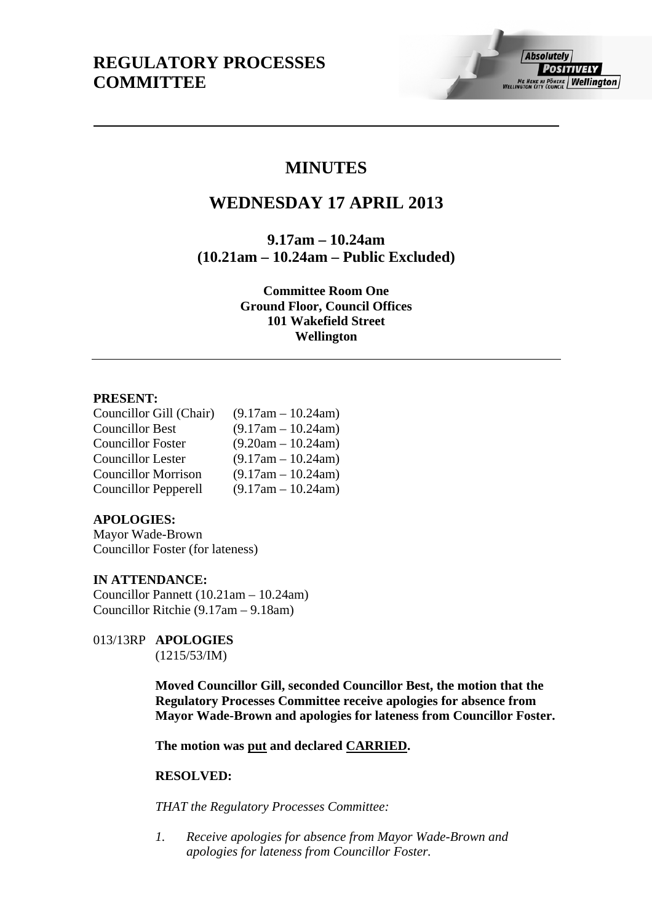# **MINUTES**

# **WEDNESDAY 17 APRIL 2013**

**9.17am – 10.24am (10.21am – 10.24am – Public Excluded)** 

> **Committee Room One Ground Floor, Council Offices 101 Wakefield Street Wellington**

# **PRESENT:**

| Councillor Gill (Chair)     | $(9.17am - 10.24am)$ |
|-----------------------------|----------------------|
| <b>Councillor Best</b>      | $(9.17am - 10.24am)$ |
| <b>Councillor Foster</b>    | $(9.20am - 10.24am)$ |
| <b>Councillor Lester</b>    | $(9.17am - 10.24am)$ |
| <b>Councillor Morrison</b>  | $(9.17am - 10.24am)$ |
| <b>Councillor Pepperell</b> | $(9.17am - 10.24am)$ |

### **APOLOGIES:**

Mayor Wade-Brown Councillor Foster (for lateness)

# **IN ATTENDANCE:**

Councillor Pannett (10.21am – 10.24am) Councillor Ritchie (9.17am – 9.18am)

013/13RP **APOLOGIES**  (1215/53/IM)

> **Moved Councillor Gill, seconded Councillor Best, the motion that the Regulatory Processes Committee receive apologies for absence from Mayor Wade-Brown and apologies for lateness from Councillor Foster.**

**The motion was put and declared CARRIED.** 

### **RESOLVED:**

*THAT the Regulatory Processes Committee:* 

*1. Receive apologies for absence from Mayor Wade-Brown and apologies for lateness from Councillor Foster.*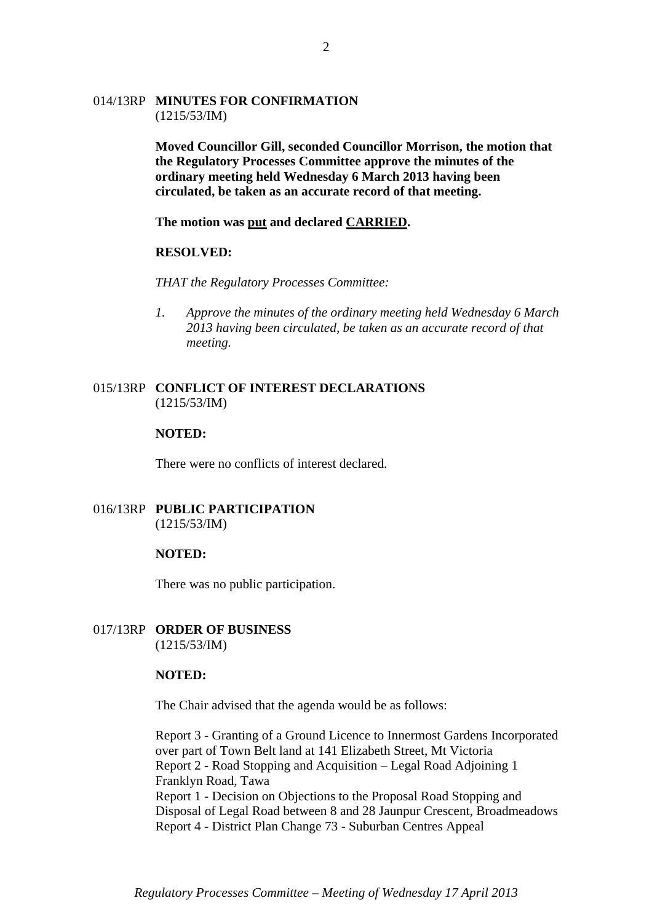# 014/13RP **MINUTES FOR CONFIRMATION**  (1215/53/IM)

**Moved Councillor Gill, seconded Councillor Morrison, the motion that the Regulatory Processes Committee approve the minutes of the ordinary meeting held Wednesday 6 March 2013 having been circulated, be taken as an accurate record of that meeting.** 

**The motion was put and declared CARRIED.** 

#### **RESOLVED:**

*THAT the Regulatory Processes Committee:* 

*1. Approve the minutes of the ordinary meeting held Wednesday 6 March 2013 having been circulated, be taken as an accurate record of that meeting.* 

### 015/13RP **CONFLICT OF INTEREST DECLARATIONS**  (1215/53/IM)

#### **NOTED:**

There were no conflicts of interest declared.

# 016/13RP **PUBLIC PARTICIPATION**  (1215/53/IM)

#### **NOTED:**

There was no public participation.

### 017/13RP **ORDER OF BUSINESS**  (1215/53/IM)

## **NOTED:**

The Chair advised that the agenda would be as follows:

Report 3 - Granting of a Ground Licence to Innermost Gardens Incorporated over part of Town Belt land at 141 Elizabeth Street, Mt Victoria Report 2 - Road Stopping and Acquisition – Legal Road Adjoining 1 Franklyn Road, Tawa Report 1 - Decision on Objections to the Proposal Road Stopping and Disposal of Legal Road between 8 and 28 Jaunpur Crescent, Broadmeadows Report 4 - District Plan Change 73 - Suburban Centres Appeal

*Regulatory Processes Committee – Meeting of Wednesday 17 April 2013*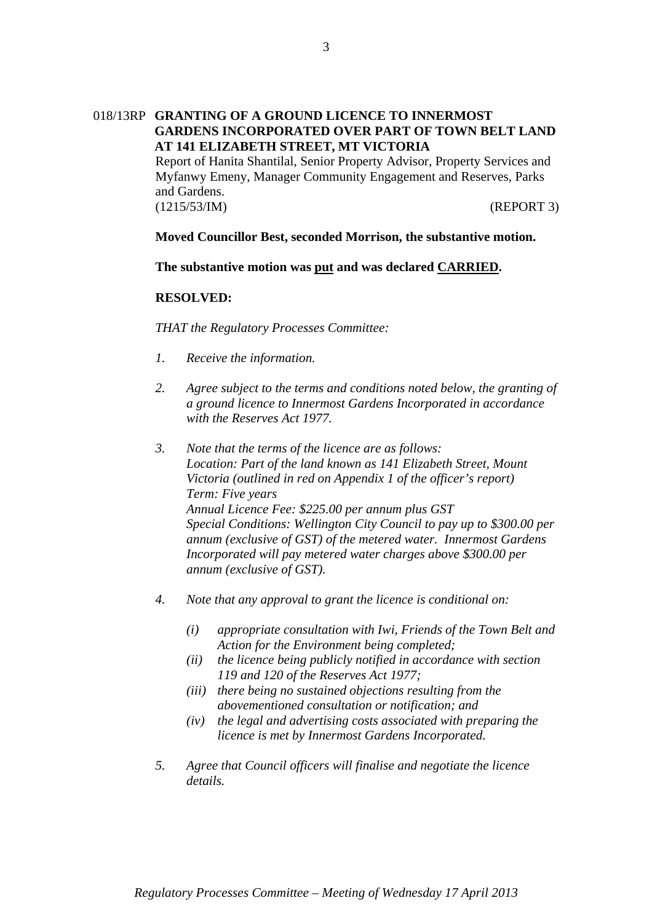# 018/13RP **GRANTING OF A GROUND LICENCE TO INNERMOST GARDENS INCORPORATED OVER PART OF TOWN BELT LAND AT 141 ELIZABETH STREET, MT VICTORIA**

Report of Hanita Shantilal, Senior Property Advisor, Property Services and Myfanwy Emeny, Manager Community Engagement and Reserves, Parks and Gardens. (1215/53/IM) (REPORT 3)

# **Moved Councillor Best, seconded Morrison, the substantive motion.**

**The substantive motion was put and was declared CARRIED.** 

# **RESOLVED:**

*THAT the Regulatory Processes Committee:* 

- *1. Receive the information.*
- *2. Agree subject to the terms and conditions noted below, the granting of a ground licence to Innermost Gardens Incorporated in accordance with the Reserves Act 1977.*
- *3. Note that the terms of the licence are as follows: Location: Part of the land known as 141 Elizabeth Street, Mount Victoria (outlined in red on Appendix 1 of the officer's report) Term: Five years Annual Licence Fee: \$225.00 per annum plus GST Special Conditions: Wellington City Council to pay up to \$300.00 per annum (exclusive of GST) of the metered water. Innermost Gardens Incorporated will pay metered water charges above \$300.00 per annum (exclusive of GST).*
- *4. Note that any approval to grant the licence is conditional on:* 
	- *(i) appropriate consultation with Iwi, Friends of the Town Belt and Action for the Environment being completed;*
	- *(ii) the licence being publicly notified in accordance with section 119 and 120 of the Reserves Act 1977;*
	- *(iii) there being no sustained objections resulting from the abovementioned consultation or notification; and*
	- *(iv) the legal and advertising costs associated with preparing the licence is met by Innermost Gardens Incorporated.*
- *5. Agree that Council officers will finalise and negotiate the licence details.*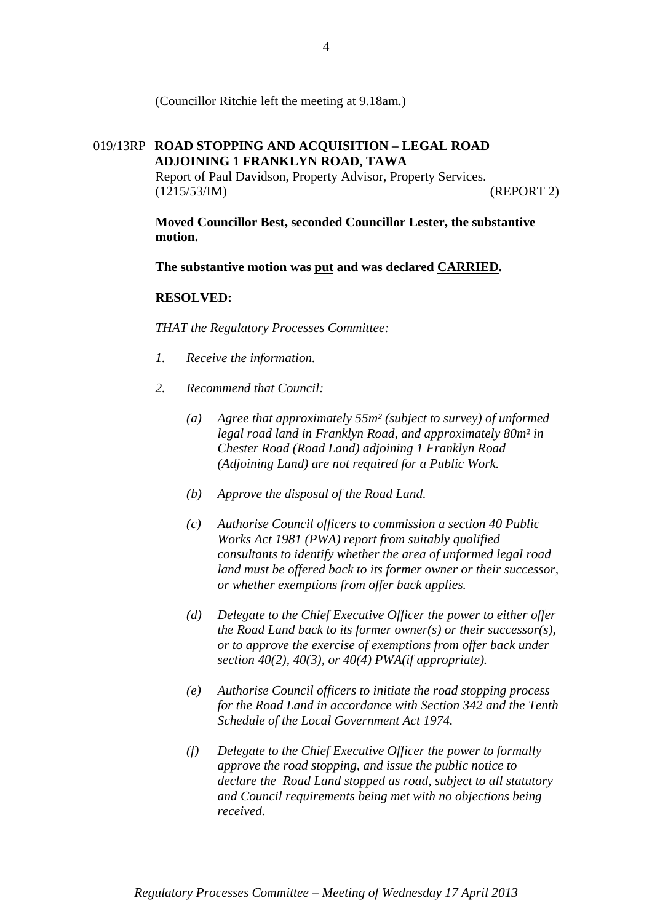(Councillor Ritchie left the meeting at 9.18am.)

# 019/13RP **ROAD STOPPING AND ACQUISITION – LEGAL ROAD ADJOINING 1 FRANKLYN ROAD, TAWA**

Report of Paul Davidson, Property Advisor, Property Services. (1215/53/IM) (REPORT 2)

**Moved Councillor Best, seconded Councillor Lester, the substantive motion.** 

**The substantive motion was put and was declared CARRIED.** 

# **RESOLVED:**

*THAT the Regulatory Processes Committee:* 

- *1. Receive the information.*
- *2. Recommend that Council:* 
	- *(a) Agree that approximately 55m² (subject to survey) of unformed legal road land in Franklyn Road, and approximately 80m² in Chester Road (Road Land) adjoining 1 Franklyn Road (Adjoining Land) are not required for a Public Work.*
	- *(b) Approve the disposal of the Road Land.*
	- *(c) Authorise Council officers to commission a section 40 Public Works Act 1981 (PWA) report from suitably qualified consultants to identify whether the area of unformed legal road land must be offered back to its former owner or their successor, or whether exemptions from offer back applies.*
	- *(d) Delegate to the Chief Executive Officer the power to either offer the Road Land back to its former owner(s) or their successor(s), or to approve the exercise of exemptions from offer back under section 40(2), 40(3), or 40(4) PWA(if appropriate).*
	- *(e) Authorise Council officers to initiate the road stopping process for the Road Land in accordance with Section 342 and the Tenth Schedule of the Local Government Act 1974.*
	- *(f) Delegate to the Chief Executive Officer the power to formally approve the road stopping, and issue the public notice to declare the Road Land stopped as road, subject to all statutory and Council requirements being met with no objections being received.*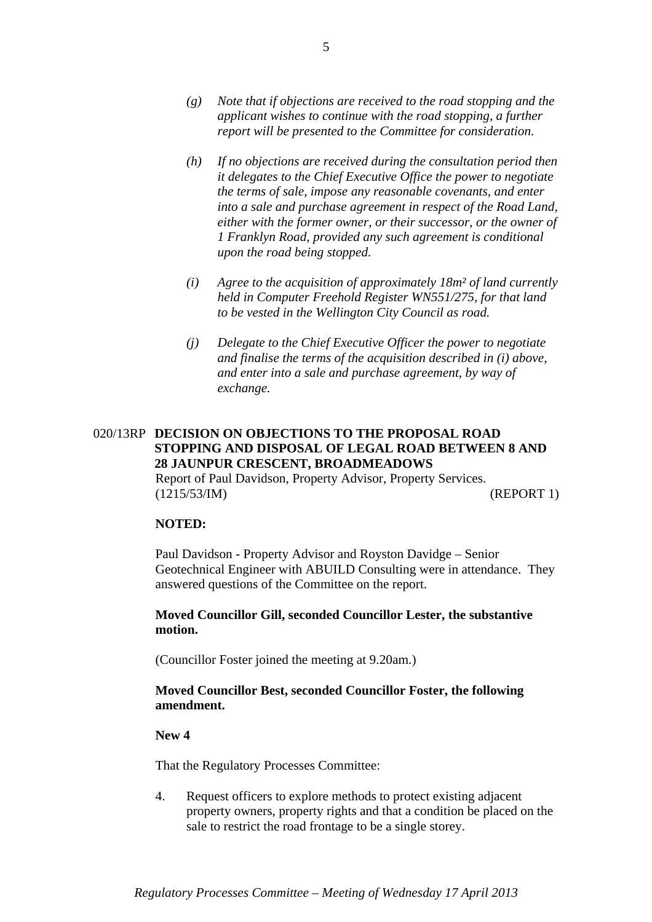- *(g) Note that if objections are received to the road stopping and the applicant wishes to continue with the road stopping, a further report will be presented to the Committee for consideration.*
- *(h) If no objections are received during the consultation period then it delegates to the Chief Executive Office the power to negotiate the terms of sale, impose any reasonable covenants, and enter into a sale and purchase agreement in respect of the Road Land, either with the former owner, or their successor, or the owner of 1 Franklyn Road, provided any such agreement is conditional upon the road being stopped.*
- *(i) Agree to the acquisition of approximately 18m² of land currently held in Computer Freehold Register WN551/275, for that land to be vested in the Wellington City Council as road.*
- *(j) Delegate to the Chief Executive Officer the power to negotiate and finalise the terms of the acquisition described in (i) above, and enter into a sale and purchase agreement, by way of exchange.*

# 020/13RP **DECISION ON OBJECTIONS TO THE PROPOSAL ROAD STOPPING AND DISPOSAL OF LEGAL ROAD BETWEEN 8 AND 28 JAUNPUR CRESCENT, BROADMEADOWS**  Report of Paul Davidson, Property Advisor, Property Services.

(1215/53/IM) (REPORT 1)

# **NOTED:**

Paul Davidson - Property Advisor and Royston Davidge – Senior Geotechnical Engineer with ABUILD Consulting were in attendance. They answered questions of the Committee on the report.

# **Moved Councillor Gill, seconded Councillor Lester, the substantive motion.**

(Councillor Foster joined the meeting at 9.20am.)

# **Moved Councillor Best, seconded Councillor Foster, the following amendment.**

# **New 4**

That the Regulatory Processes Committee:

4. Request officers to explore methods to protect existing adjacent property owners, property rights and that a condition be placed on the sale to restrict the road frontage to be a single storey.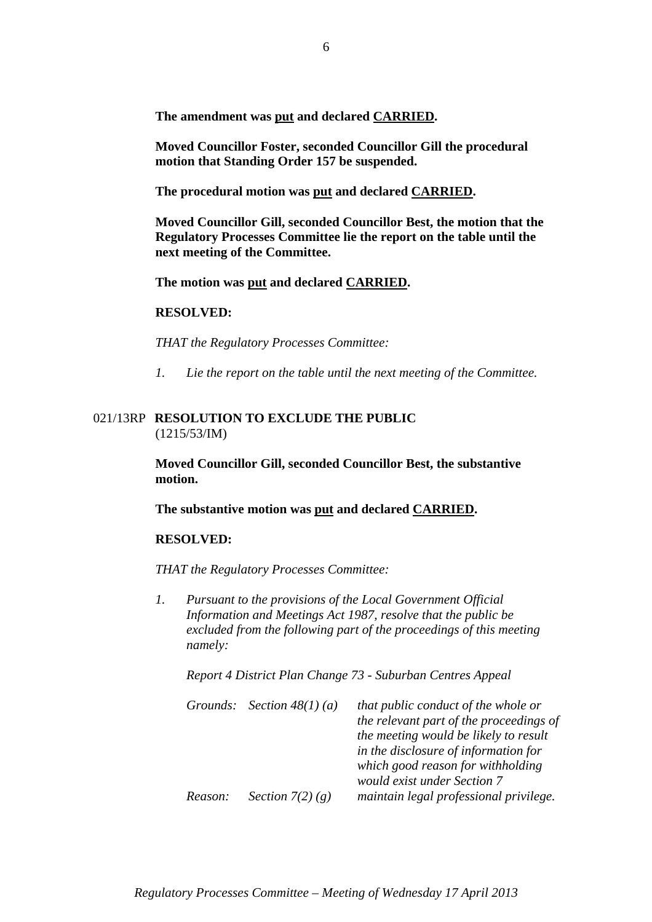**The amendment was put and declared CARRIED.** 

**Moved Councillor Foster, seconded Councillor Gill the procedural motion that Standing Order 157 be suspended.** 

**The procedural motion was put and declared CARRIED.** 

**Moved Councillor Gill, seconded Councillor Best, the motion that the Regulatory Processes Committee lie the report on the table until the next meeting of the Committee.** 

**The motion was put and declared CARRIED.** 

#### **RESOLVED:**

*THAT the Regulatory Processes Committee:* 

*1. Lie the report on the table until the next meeting of the Committee.* 

# 021/13RP **RESOLUTION TO EXCLUDE THE PUBLIC** (1215/53/IM)

**Moved Councillor Gill, seconded Councillor Best, the substantive motion.** 

**The substantive motion was put and declared CARRIED.** 

#### **RESOLVED:**

*THAT the Regulatory Processes Committee:* 

*1. Pursuant to the provisions of the Local Government Official Information and Meetings Act 1987, resolve that the public be excluded from the following part of the proceedings of this meeting namely:* 

*Report 4 District Plan Change 73 - Suburban Centres Appeal* 

|         | Grounds: Section $48(1)(a)$ | that public conduct of the whole or<br>the relevant part of the proceedings of |
|---------|-----------------------------|--------------------------------------------------------------------------------|
|         |                             | the meeting would be likely to result                                          |
|         |                             | in the disclosure of information for                                           |
|         |                             | which good reason for withholding                                              |
|         |                             | would exist under Section 7                                                    |
| Reason: | Section $7(2)$ (g)          | maintain legal professional privilege.                                         |